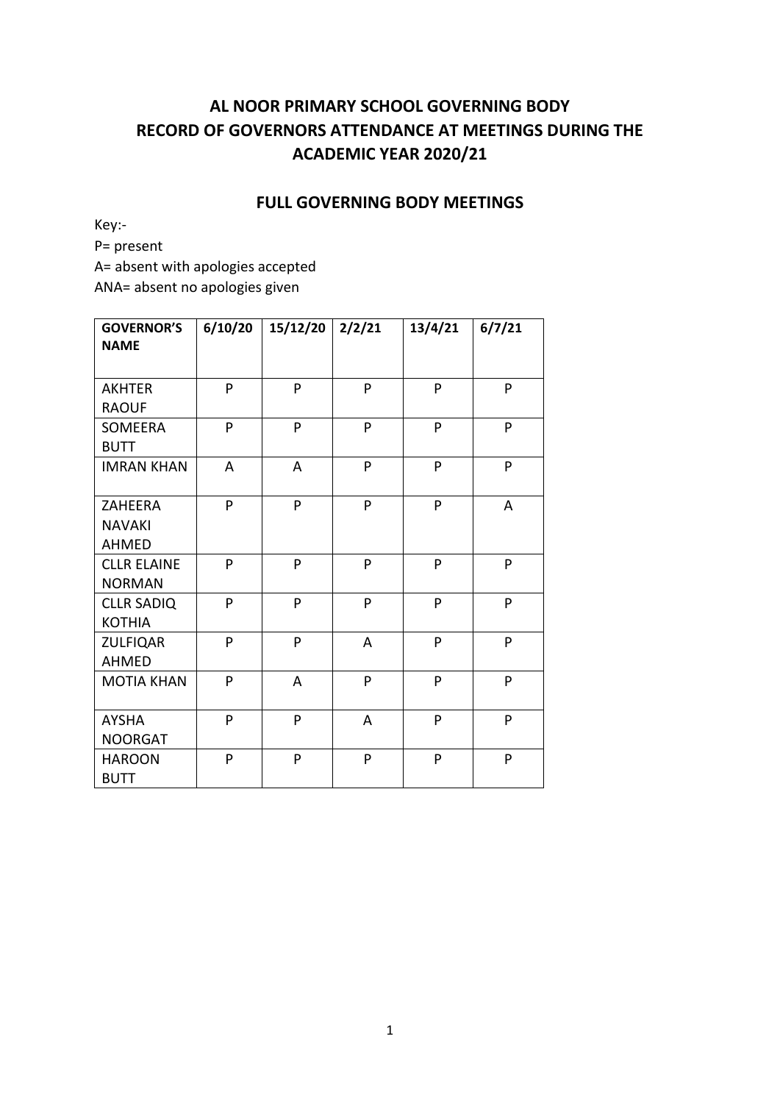# **AL NOOR PRIMARY SCHOOL GOVERNING BODY RECORD OF GOVERNORS ATTENDANCE AT MEETINGS DURING THE ACADEMIC YEAR 2020/21**

#### **FULL GOVERNING BODY MEETINGS**

Key:-

P= present

A= absent with apologies accepted

ANA= absent no apologies given

| <b>GOVERNOR'S</b><br><b>NAME</b> | 6/10/20 | 15/12/20 | 2/2/21 | 13/4/21 | 6/7/21 |
|----------------------------------|---------|----------|--------|---------|--------|
|                                  |         |          |        |         |        |
| <b>AKHTER</b>                    | P       | P        | P      | P       | P      |
| <b>RAOUF</b>                     |         |          |        |         |        |
| SOMEERA                          | P       | P        | P      | P       | P      |
| <b>BUTT</b>                      |         |          |        |         |        |
| <b>IMRAN KHAN</b>                | A       | A        | P      | P       | P      |
|                                  |         |          |        |         |        |
| ZAHEERA                          | P       | P        | P      | P       | A      |
| <b>NAVAKI</b>                    |         |          |        |         |        |
| <b>AHMED</b>                     |         |          |        |         |        |
| <b>CLLR ELAINE</b>               | P       | P        | P      | P       | P      |
| <b>NORMAN</b>                    |         |          |        |         |        |
| <b>CLLR SADIQ</b>                | P       | P        | P      | P       | P      |
| <b>KOTHIA</b>                    |         |          |        |         |        |
| <b>ZULFIQAR</b>                  | P       | P        | A      | P       | P      |
| <b>AHMED</b>                     |         |          |        |         |        |
| <b>MOTIA KHAN</b>                | P       | A        | P      | P       | P      |
|                                  |         |          |        |         |        |
| <b>AYSHA</b>                     | P       | P        | A      | P       | P      |
| <b>NOORGAT</b>                   |         |          |        |         |        |
| <b>HAROON</b>                    | P       | P        | P      | P       | P      |
| <b>BUTT</b>                      |         |          |        |         |        |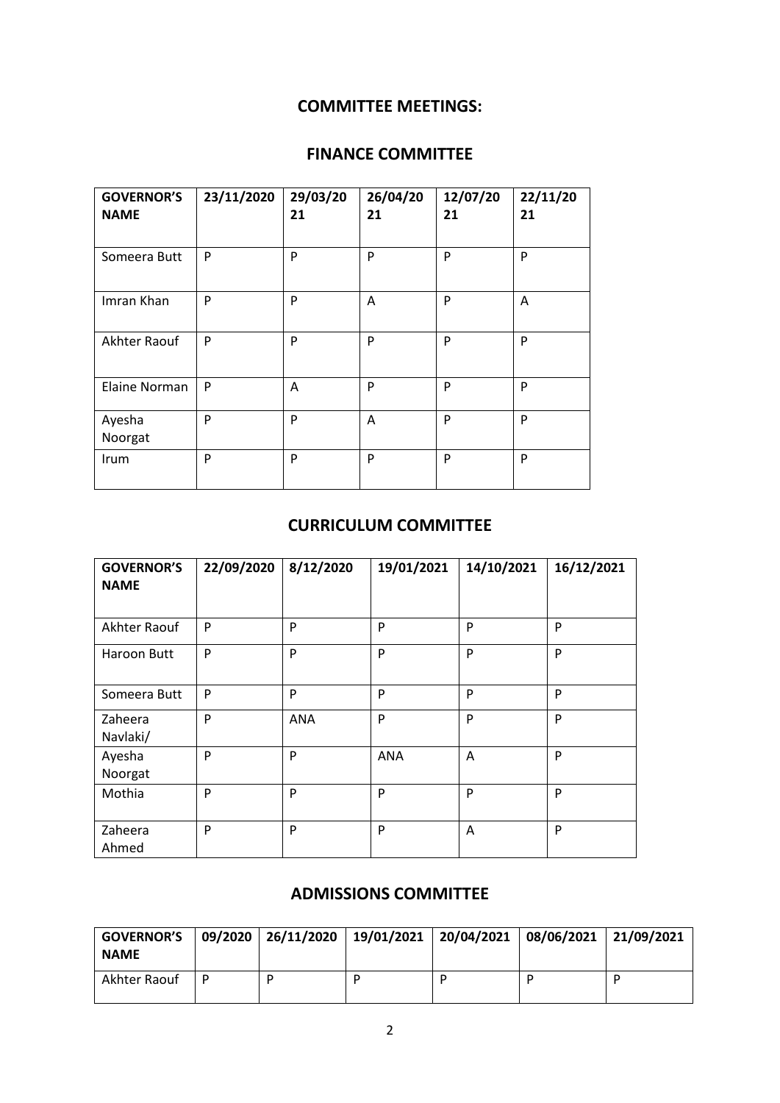### **COMMITTEE MEETINGS:**

## **FINANCE COMMITTEE**

| <b>GOVERNOR'S</b><br><b>NAME</b> | 23/11/2020 | 29/03/20<br>21 | 26/04/20<br>21 | 12/07/20<br>21 | 22/11/20<br>21 |
|----------------------------------|------------|----------------|----------------|----------------|----------------|
| Someera Butt                     | P          | P              | P              | P              | P              |
| Imran Khan                       | P          | P              | Α              | P              | A              |
| Akhter Raouf                     | P          | P              | P              | P              | P              |
| Elaine Norman                    | P          | A              | P              | P              | P              |
| Ayesha<br>Noorgat                | P          | P              | Α              | P              | P              |
| Irum                             | P          | P              | P              | P              | P              |

### **CURRICULUM COMMITTEE**

| <b>GOVERNOR'S</b><br><b>NAME</b> | 22/09/2020 | 8/12/2020  | 19/01/2021 | 14/10/2021 | 16/12/2021 |
|----------------------------------|------------|------------|------------|------------|------------|
| Akhter Raouf                     | P          | P          | P          | P          | P          |
| Haroon Butt                      | P          | P          | P          | P          | P          |
| Someera Butt                     | P          | P          | P          | P          | P          |
| Zaheera<br>Navlaki/              | P          | <b>ANA</b> | P          | P          | P          |
| Ayesha<br>Noorgat                | P          | P          | <b>ANA</b> | Α          | P          |
| Mothia                           | P          | P          | P          | P          | P          |
| Zaheera<br>Ahmed                 | P          | P          | P          | A          | P          |

### **ADMISSIONS COMMITTEE**

| <b>GOVERNOR'S</b><br><b>NAME</b> | $  09/2020   26/11/2020   19/01/2021   20/04/2021   08/06/2021   21/09/2021$ |  |  |
|----------------------------------|------------------------------------------------------------------------------|--|--|
| Akhter Raouf                     |                                                                              |  |  |